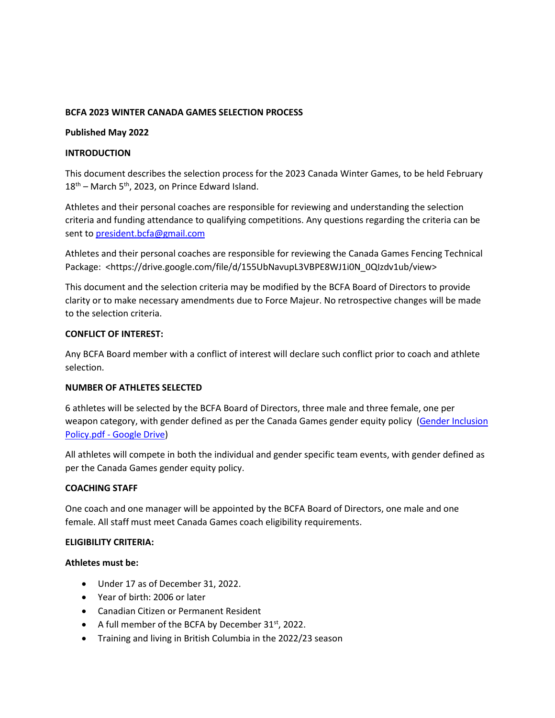### **BCFA 2023 WINTER CANADA GAMES SELECTION PROCESS**

### **Published May 2022**

### **INTRODUCTION**

This document describes the selection process for the 2023 Canada Winter Games, to be held February  $18<sup>th</sup>$  – March 5<sup>th</sup>, 2023, on Prince Edward Island.

Athletes and their personal coaches are responsible for reviewing and understanding the selection criteria and funding attendance to qualifying competitions. Any questions regarding the criteria can be sent t[o president.bcfa@gmail.com](mailto:president.bcfa@gmail.com)

Athletes and their personal coaches are responsible for reviewing the Canada Games Fencing Technical Package: <https://drive.google.com/file/d/155UbNavupL3VBPE8WJ1i0N\_0QIzdv1ub/view>

This document and the selection criteria may be modified by the BCFA Board of Directors to provide clarity or to make necessary amendments due to Force Majeur. No retrospective changes will be made to the selection criteria.

# **CONFLICT OF INTEREST:**

Any BCFA Board member with a conflict of interest will declare such conflict prior to coach and athlete selection.

#### **NUMBER OF ATHLETES SELECTED**

6 athletes will be selected by the BCFA Board of Directors, three male and three female, one per weapon category, with gender defined as per the Canada Games gender equity policy [\(Gender Inclusion](https://drive.google.com/file/d/1_ppbsCeyAV9DpN5xhwji_g9KOABG4GuP/view)  Policy.pdf - [Google Drive\)](https://drive.google.com/file/d/1_ppbsCeyAV9DpN5xhwji_g9KOABG4GuP/view)

All athletes will compete in both the individual and gender specific team events, with gender defined as per the Canada Games gender equity policy.

# **COACHING STAFF**

One coach and one manager will be appointed by the BCFA Board of Directors, one male and one female. All staff must meet Canada Games coach eligibility requirements.

#### **ELIGIBILITY CRITERIA:**

#### **Athletes must be:**

- Under 17 as of December 31, 2022.
- Year of birth: 2006 or later
- Canadian Citizen or Permanent Resident
- A full member of the BCFA by December  $31<sup>st</sup>$ , 2022.
- Training and living in British Columbia in the 2022/23 season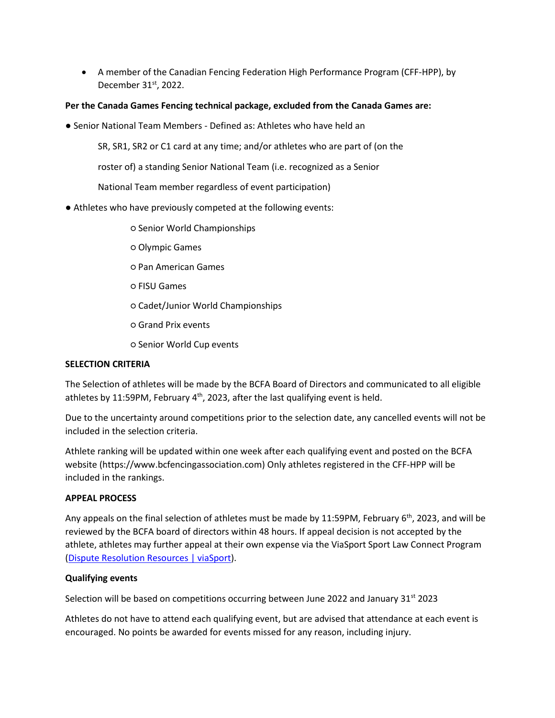• A member of the Canadian Fencing Federation High Performance Program (CFF-HPP), by December 31st, 2022.

# **Per the Canada Games Fencing technical package, excluded from the Canada Games are:**

● Senior National Team Members - Defined as: Athletes who have held an

SR, SR1, SR2 or C1 card at any time; and/or athletes who are part of (on the

roster of) a standing Senior National Team (i.e. recognized as a Senior

National Team member regardless of event participation)

- Athletes who have previously competed at the following events:
	- Senior World Championships
	- Olympic Games
	- Pan American Games
	- FISU Games
	- Cadet/Junior World Championships
	- Grand Prix events
	- Senior World Cup events

# **SELECTION CRITERIA**

The Selection of athletes will be made by the BCFA Board of Directors and communicated to all eligible athletes by 11:59PM, February  $4<sup>th</sup>$ , 2023, after the last qualifying event is held.

Due to the uncertainty around competitions prior to the selection date, any cancelled events will not be included in the selection criteria.

Athlete ranking will be updated within one week after each qualifying event and posted on the BCFA website (https://www.bcfencingassociation.com) Only athletes registered in the CFF-HPP will be included in the rankings.

# **APPEAL PROCESS**

Any appeals on the final selection of athletes must be made by 11:59PM, February 6<sup>th</sup>, 2023, and will be reviewed by the BCFA board of directors within 48 hours. If appeal decision is not accepted by the athlete, athletes may further appeal at their own expense via the ViaSport Sport Law Connect Program [\(Dispute Resolution Resources | viaSport\)](https://www.viasport.ca/dispute-resolution-resources#:~:text=The%20Sport%20Law%20Connect%20Program,services%20for%20the%20sport%20community).

# **Qualifying events**

Selection will be based on competitions occurring between June 2022 and January 31st 2023

Athletes do not have to attend each qualifying event, but are advised that attendance at each event is encouraged. No points be awarded for events missed for any reason, including injury.